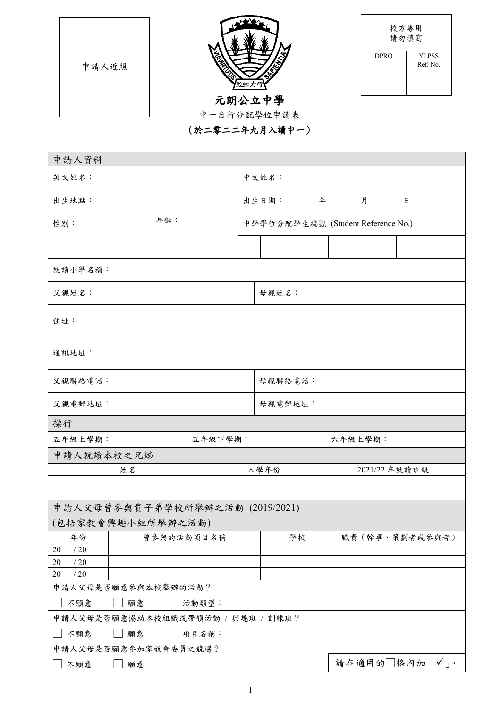|       |                       | 校方專用<br>請勿填寫 |                          |  |  |  |
|-------|-----------------------|--------------|--------------------------|--|--|--|
| 申請人近照 | ≲                     | <b>DPRO</b>  | <b>YLPSS</b><br>Ref. No. |  |  |  |
|       | 元朗公立中學<br>中一自行分配學位申請表 |              |                          |  |  |  |
|       | (於二零二二年九月八讀中一)        |              |                          |  |  |  |

| 申請人資料                              |            |     |       |         |                                    |         |    |  |   |         |               |  |                 |  |
|------------------------------------|------------|-----|-------|---------|------------------------------------|---------|----|--|---|---------|---------------|--|-----------------|--|
| 英文姓名:                              |            |     |       | 中文姓名:   |                                    |         |    |  |   |         |               |  |                 |  |
| 出生地點:                              |            |     |       |         | 出生日期:                              |         | 年  |  | 月 |         | 日             |  |                 |  |
| 性別:                                |            | 年龄: |       |         | 中學學位分配學生編號 (Student Reference No.) |         |    |  |   |         |               |  |                 |  |
|                                    |            |     |       |         |                                    |         |    |  |   |         |               |  |                 |  |
| 就讀小學名稱:                            |            |     |       |         |                                    |         |    |  |   |         |               |  |                 |  |
| 父親姓名:                              |            |     |       |         |                                    | 母親姓名:   |    |  |   |         |               |  |                 |  |
| 住址:                                |            |     |       |         |                                    |         |    |  |   |         |               |  |                 |  |
| 通訊地址:                              |            |     |       |         |                                    |         |    |  |   |         |               |  |                 |  |
| 父親聯絡電話:                            |            |     |       |         |                                    | 母親聯絡電話: |    |  |   |         |               |  |                 |  |
| 父親電郵地址:                            |            |     |       |         | 母親電郵地址:                            |         |    |  |   |         |               |  |                 |  |
| 操行                                 |            |     |       |         |                                    |         |    |  |   |         |               |  |                 |  |
| 五年級上學期:                            |            |     |       | 五年級下學期: |                                    |         |    |  |   | 六年級上學期: |               |  |                 |  |
| 申請人就讀本校之兄姊                         |            |     |       |         |                                    |         |    |  |   |         |               |  |                 |  |
|                                    | 姓名         |     |       |         |                                    | 入學年份    |    |  |   |         | 2021/22 年就讀班級 |  |                 |  |
|                                    |            |     |       |         |                                    |         |    |  |   |         |               |  |                 |  |
|                                    |            |     |       |         |                                    |         |    |  |   |         |               |  |                 |  |
| 申請人父母曾參與貴子弟學校所舉辦之活動 (2019/2021)    |            |     |       |         |                                    |         |    |  |   |         |               |  |                 |  |
| (包括家教會興趣小組所舉辦之活動)                  |            |     |       |         |                                    |         |    |  |   |         |               |  |                 |  |
| 年份<br>/20<br>20                    | 曾參與的活動項目名稱 |     |       |         |                                    |         | 學校 |  |   |         |               |  | 職責 (幹事、策劃者或參與者) |  |
| /20<br>20                          |            |     |       |         |                                    |         |    |  |   |         |               |  |                 |  |
| /20<br>20                          |            |     |       |         |                                    |         |    |  |   |         |               |  |                 |  |
| 申請人父母是否願意參與本校舉辦的活動?                |            |     |       |         |                                    |         |    |  |   |         |               |  |                 |  |
| 不願意<br>願意<br>活動類型:                 |            |     |       |         |                                    |         |    |  |   |         |               |  |                 |  |
| 申請人父母是否願意協助本校組織或帶領活動 / 興趣班 / 訓練班 ? |            |     |       |         |                                    |         |    |  |   |         |               |  |                 |  |
| 不願意                                | 願意         |     | 項目名稱: |         |                                    |         |    |  |   |         |               |  |                 |  |
| 申請人父母是否願意參加家教會委員之競選?               |            |     |       |         |                                    |         |    |  |   |         |               |  |                 |  |
| 不願意<br>願意                          |            |     |       |         | 請在適用的□格內加「√」。                      |         |    |  |   |         |               |  |                 |  |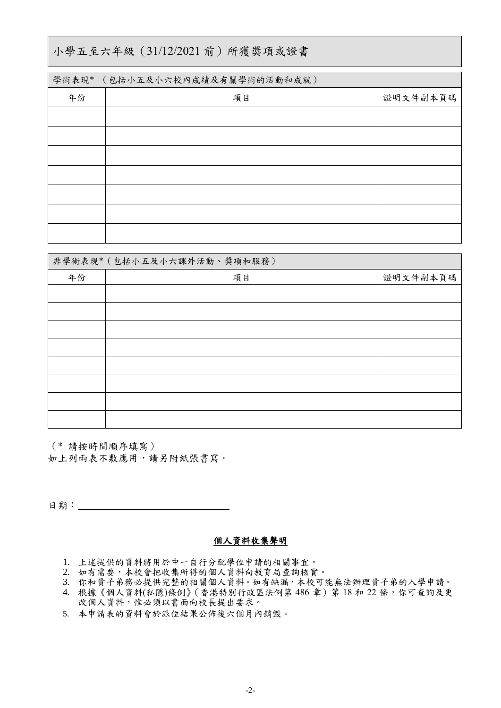### 小學五至六年級(31/12/2021 前)所獲獎項或證書

| 學術表現* | (包括小五及小六校內成績及有關學術的活動和成就) |          |
|-------|--------------------------|----------|
| 年份    | 項目                       | 證明文件副本頁碼 |
|       |                          |          |
|       |                          |          |
|       |                          |          |
|       |                          |          |
|       |                          |          |
|       |                          |          |
|       |                          |          |

|    | 非學術表現*(包括小五及小六課外活動、獎項和服務) |          |
|----|---------------------------|----------|
| 年份 | 項目                        | 證明文件副本頁碼 |
|    |                           |          |
|    |                           |          |
|    |                           |          |
|    |                           |          |
|    |                           |          |
|    |                           |          |
|    |                           |          |
|    |                           |          |

(\* 請按時間順序填寫) 如上列兩表不敷應用,請另附紙張書寫。

日期:

#### 個人資料收集聲明

- 1. 上述提供的資料將用於中一自行分配學位申請的相關事宜。
- 2. 如有需要,本校會把收集所得的個人資料向教育局查詢核實。
- 3. 你和貴子弟務必提供完整的相關個人資料。如有缺漏,本校可能無法辦理貴子弟的入學申請。
- 4. 根據《個人資料(私隱)條例》(香港特別行政區法例第 486章) 第 18 和 22 條,你可查詢及更 改個人資料,惟必須以書面向校長提出要求。
- 5. 本申請表的資料會於派位結果公佈後六個月內銷毀。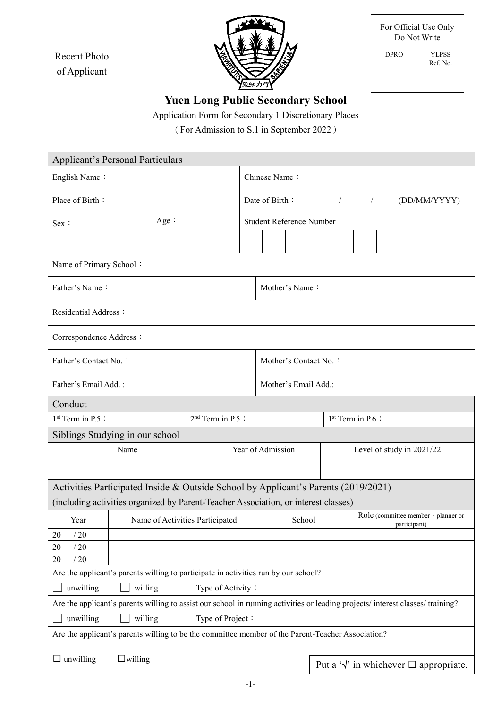| For Official Use Only |
|-----------------------|
| Do Not Write          |

| <b>Recent Photo</b> |
|---------------------|
| of Applicant        |



| <b>DPRO</b> | <b>YLPSS</b> |
|-------------|--------------|
|             | Ref. No.     |
|             |              |
|             |              |
|             |              |

# **Yuen Long Public Secondary School**

Application Form for Secondary 1 Discretionary Places

(For Admission to S.1 in September 2022)

| <b>Applicant's Personal Particulars</b>                                                           |                                                                                                                                                                             |                              |                                                            |  |  |                       |                                                     |                               |  |  |  |                                                       |
|---------------------------------------------------------------------------------------------------|-----------------------------------------------------------------------------------------------------------------------------------------------------------------------------|------------------------------|------------------------------------------------------------|--|--|-----------------------|-----------------------------------------------------|-------------------------------|--|--|--|-------------------------------------------------------|
| English Name:                                                                                     |                                                                                                                                                                             |                              | Chinese Name:                                              |  |  |                       |                                                     |                               |  |  |  |                                                       |
| Place of Birth:                                                                                   |                                                                                                                                                                             |                              | Date of Birth:<br>(DD/MM/YYYY)<br>$\sqrt{2}$<br>$\sqrt{2}$ |  |  |                       |                                                     |                               |  |  |  |                                                       |
| Sex :                                                                                             | Age:                                                                                                                                                                        |                              | <b>Student Reference Number</b>                            |  |  |                       |                                                     |                               |  |  |  |                                                       |
|                                                                                                   |                                                                                                                                                                             |                              |                                                            |  |  |                       |                                                     |                               |  |  |  |                                                       |
| Name of Primary School:                                                                           |                                                                                                                                                                             |                              |                                                            |  |  |                       |                                                     |                               |  |  |  |                                                       |
| Father's Name:                                                                                    |                                                                                                                                                                             |                              | Mother's Name:                                             |  |  |                       |                                                     |                               |  |  |  |                                                       |
| Residential Address:                                                                              |                                                                                                                                                                             |                              |                                                            |  |  |                       |                                                     |                               |  |  |  |                                                       |
| Correspondence Address:                                                                           |                                                                                                                                                                             |                              |                                                            |  |  |                       |                                                     |                               |  |  |  |                                                       |
| Father's Contact No.:                                                                             |                                                                                                                                                                             |                              |                                                            |  |  | Mother's Contact No.: |                                                     |                               |  |  |  |                                                       |
| Father's Email Add.:                                                                              |                                                                                                                                                                             |                              | Mother's Email Add.:                                       |  |  |                       |                                                     |                               |  |  |  |                                                       |
| Conduct                                                                                           |                                                                                                                                                                             |                              |                                                            |  |  |                       |                                                     |                               |  |  |  |                                                       |
| 1 <sup>st</sup> Term in P.5 :                                                                     |                                                                                                                                                                             | 2 <sup>nd</sup> Term in P.5: |                                                            |  |  |                       |                                                     | 1 <sup>st</sup> Term in P.6 : |  |  |  |                                                       |
| Siblings Studying in our school                                                                   |                                                                                                                                                                             |                              |                                                            |  |  |                       |                                                     |                               |  |  |  |                                                       |
| Name                                                                                              |                                                                                                                                                                             |                              | Year of Admission                                          |  |  |                       |                                                     | Level of study in 2021/22     |  |  |  |                                                       |
|                                                                                                   |                                                                                                                                                                             |                              |                                                            |  |  |                       |                                                     |                               |  |  |  |                                                       |
| Activities Participated Inside & Outside School by Applicant's Parents (2019/2021)                |                                                                                                                                                                             |                              |                                                            |  |  |                       |                                                     |                               |  |  |  |                                                       |
| (including activities organized by Parent-Teacher Association, or interest classes)               |                                                                                                                                                                             |                              |                                                            |  |  |                       |                                                     |                               |  |  |  |                                                       |
| Year                                                                                              | Name of Activities Participated                                                                                                                                             |                              | School                                                     |  |  |                       | Role (committee member · planner or<br>participant) |                               |  |  |  |                                                       |
| /20<br>20                                                                                         |                                                                                                                                                                             |                              |                                                            |  |  |                       |                                                     |                               |  |  |  |                                                       |
| /20<br>20                                                                                         |                                                                                                                                                                             |                              |                                                            |  |  |                       |                                                     |                               |  |  |  |                                                       |
| /20<br>20                                                                                         |                                                                                                                                                                             |                              |                                                            |  |  |                       |                                                     |                               |  |  |  |                                                       |
| Are the applicant's parents willing to participate in activities run by our school?               |                                                                                                                                                                             |                              |                                                            |  |  |                       |                                                     |                               |  |  |  |                                                       |
| willing<br>unwilling                                                                              |                                                                                                                                                                             | Type of Activity:            |                                                            |  |  |                       |                                                     |                               |  |  |  |                                                       |
|                                                                                                   | Are the applicant's parents willing to assist our school in running activities or leading projects/ interest classes/ training?<br>unwilling<br>willing<br>Type of Project: |                              |                                                            |  |  |                       |                                                     |                               |  |  |  |                                                       |
|                                                                                                   |                                                                                                                                                                             |                              |                                                            |  |  |                       |                                                     |                               |  |  |  |                                                       |
| Are the applicant's parents willing to be the committee member of the Parent-Teacher Association? |                                                                                                                                                                             |                              |                                                            |  |  |                       |                                                     |                               |  |  |  |                                                       |
| $\Box$ unwilling<br>$\Box$ willing                                                                |                                                                                                                                                                             |                              |                                                            |  |  |                       |                                                     |                               |  |  |  | Put a ' $\sqrt{ }$ ' in whichever $\Box$ appropriate. |